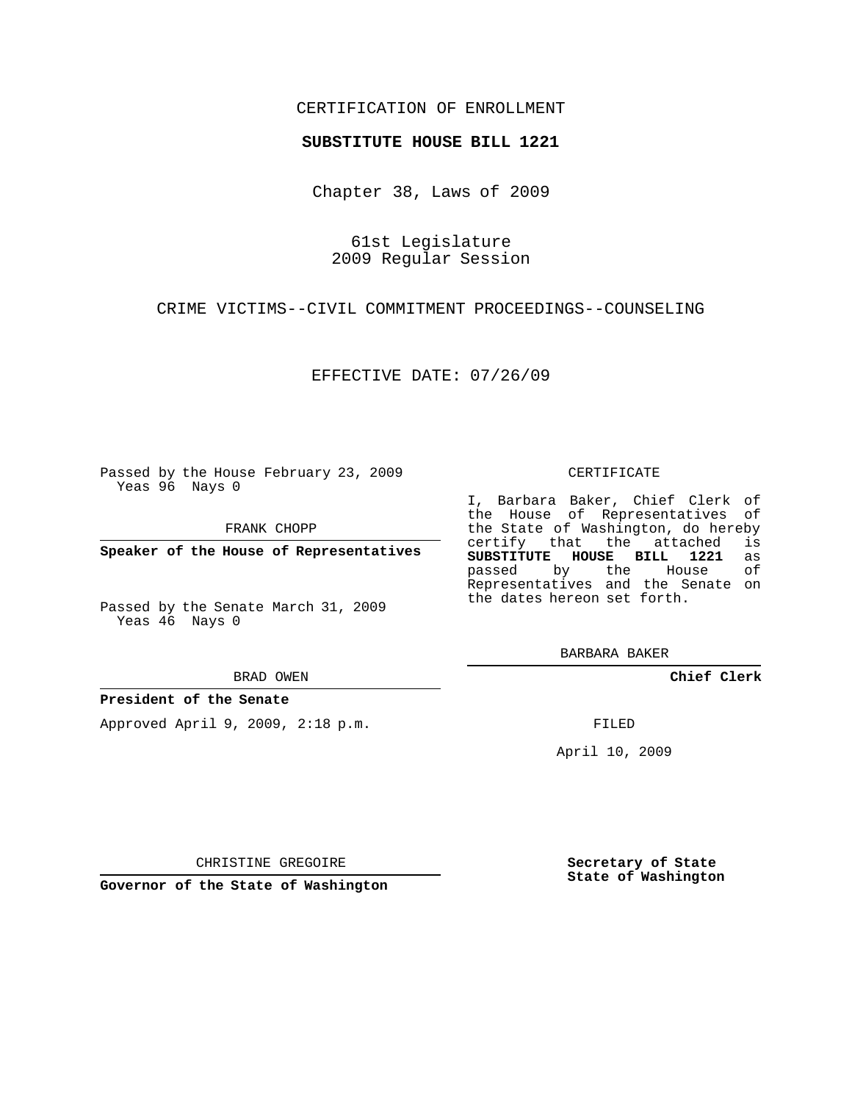## CERTIFICATION OF ENROLLMENT

### **SUBSTITUTE HOUSE BILL 1221**

Chapter 38, Laws of 2009

61st Legislature 2009 Regular Session

CRIME VICTIMS--CIVIL COMMITMENT PROCEEDINGS--COUNSELING

EFFECTIVE DATE: 07/26/09

Passed by the House February 23, 2009 Yeas 96 Nays 0

FRANK CHOPP

**Speaker of the House of Representatives**

Passed by the Senate March 31, 2009 Yeas 46 Nays 0

#### BRAD OWEN

### **President of the Senate**

Approved April 9, 2009, 2:18 p.m.

#### CERTIFICATE

I, Barbara Baker, Chief Clerk of the House of Representatives of the State of Washington, do hereby<br>certify that the attached is certify that the attached is<br>SUBSTITUTE HOUSE BILL 1221 as **SUBSTITUTE HOUSE BILL 1221** as passed by the House Representatives and the Senate on the dates hereon set forth.

BARBARA BAKER

**Chief Clerk**

FILED

April 10, 2009

CHRISTINE GREGOIRE

**Governor of the State of Washington**

**Secretary of State State of Washington**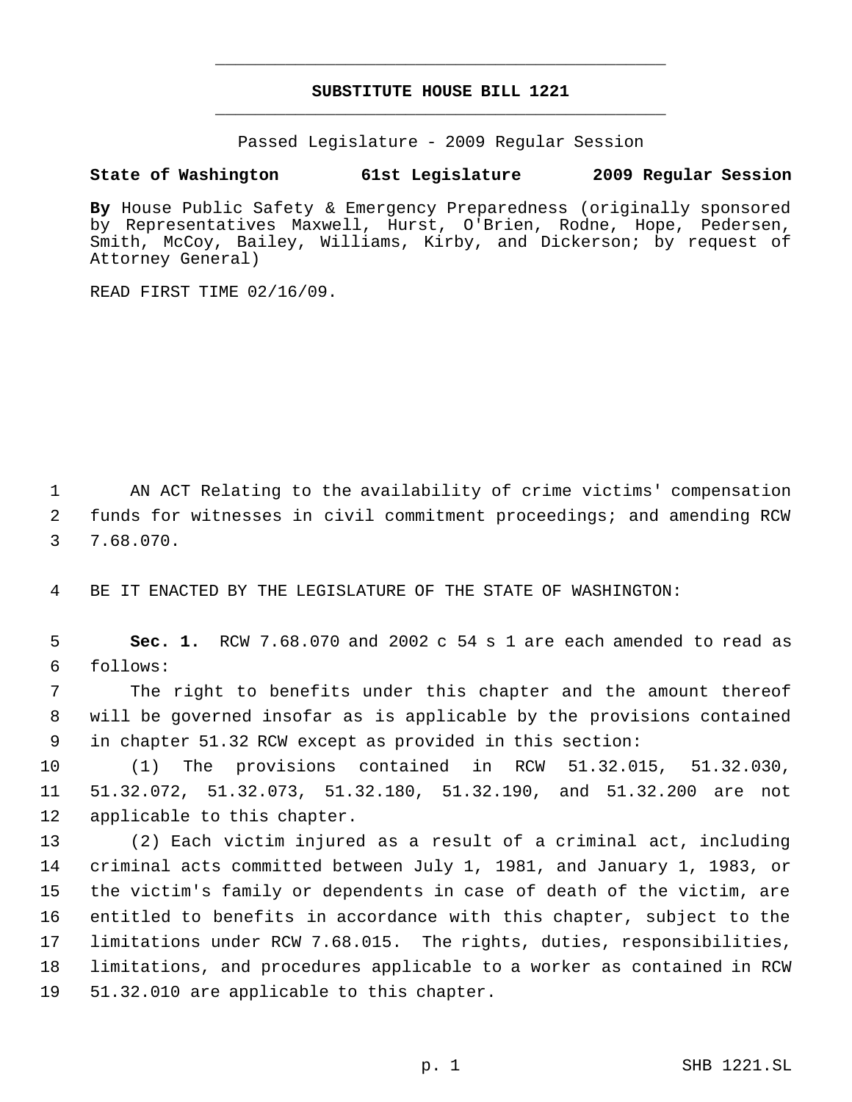# **SUBSTITUTE HOUSE BILL 1221** \_\_\_\_\_\_\_\_\_\_\_\_\_\_\_\_\_\_\_\_\_\_\_\_\_\_\_\_\_\_\_\_\_\_\_\_\_\_\_\_\_\_\_\_\_

\_\_\_\_\_\_\_\_\_\_\_\_\_\_\_\_\_\_\_\_\_\_\_\_\_\_\_\_\_\_\_\_\_\_\_\_\_\_\_\_\_\_\_\_\_

Passed Legislature - 2009 Regular Session

# **State of Washington 61st Legislature 2009 Regular Session**

**By** House Public Safety & Emergency Preparedness (originally sponsored by Representatives Maxwell, Hurst, O'Brien, Rodne, Hope, Pedersen, Smith, McCoy, Bailey, Williams, Kirby, and Dickerson; by request of Attorney General)

READ FIRST TIME 02/16/09.

 AN ACT Relating to the availability of crime victims' compensation funds for witnesses in civil commitment proceedings; and amending RCW 7.68.070.

BE IT ENACTED BY THE LEGISLATURE OF THE STATE OF WASHINGTON:

 **Sec. 1.** RCW 7.68.070 and 2002 c 54 s 1 are each amended to read as follows:

 The right to benefits under this chapter and the amount thereof will be governed insofar as is applicable by the provisions contained in chapter 51.32 RCW except as provided in this section:

 (1) The provisions contained in RCW 51.32.015, 51.32.030, 51.32.072, 51.32.073, 51.32.180, 51.32.190, and 51.32.200 are not applicable to this chapter.

 (2) Each victim injured as a result of a criminal act, including criminal acts committed between July 1, 1981, and January 1, 1983, or the victim's family or dependents in case of death of the victim, are entitled to benefits in accordance with this chapter, subject to the limitations under RCW 7.68.015. The rights, duties, responsibilities, limitations, and procedures applicable to a worker as contained in RCW 51.32.010 are applicable to this chapter.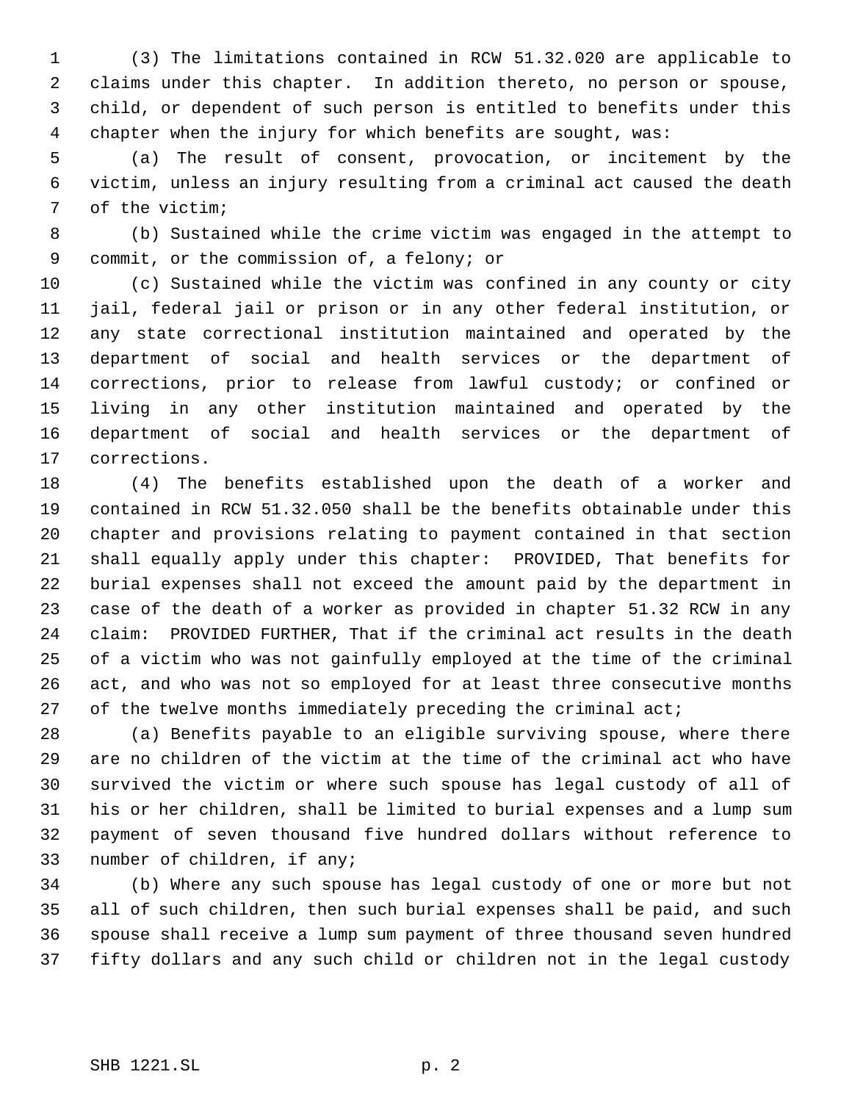(3) The limitations contained in RCW 51.32.020 are applicable to claims under this chapter. In addition thereto, no person or spouse, child, or dependent of such person is entitled to benefits under this chapter when the injury for which benefits are sought, was:

 (a) The result of consent, provocation, or incitement by the victim, unless an injury resulting from a criminal act caused the death of the victim;

 (b) Sustained while the crime victim was engaged in the attempt to commit, or the commission of, a felony; or

 (c) Sustained while the victim was confined in any county or city jail, federal jail or prison or in any other federal institution, or any state correctional institution maintained and operated by the department of social and health services or the department of corrections, prior to release from lawful custody; or confined or living in any other institution maintained and operated by the department of social and health services or the department of corrections.

 (4) The benefits established upon the death of a worker and contained in RCW 51.32.050 shall be the benefits obtainable under this chapter and provisions relating to payment contained in that section shall equally apply under this chapter: PROVIDED, That benefits for burial expenses shall not exceed the amount paid by the department in case of the death of a worker as provided in chapter 51.32 RCW in any claim: PROVIDED FURTHER, That if the criminal act results in the death of a victim who was not gainfully employed at the time of the criminal act, and who was not so employed for at least three consecutive months 27 of the twelve months immediately preceding the criminal act;

 (a) Benefits payable to an eligible surviving spouse, where there are no children of the victim at the time of the criminal act who have survived the victim or where such spouse has legal custody of all of his or her children, shall be limited to burial expenses and a lump sum payment of seven thousand five hundred dollars without reference to number of children, if any;

 (b) Where any such spouse has legal custody of one or more but not all of such children, then such burial expenses shall be paid, and such spouse shall receive a lump sum payment of three thousand seven hundred fifty dollars and any such child or children not in the legal custody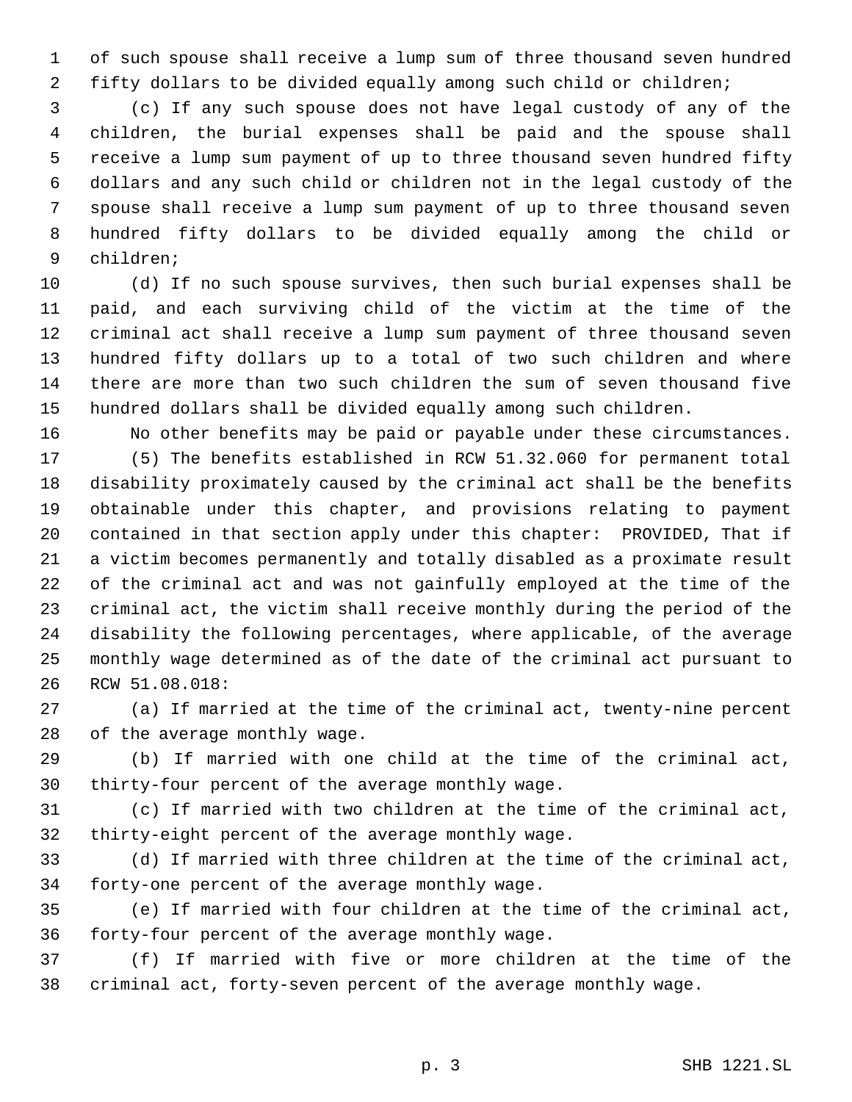of such spouse shall receive a lump sum of three thousand seven hundred fifty dollars to be divided equally among such child or children;

 (c) If any such spouse does not have legal custody of any of the children, the burial expenses shall be paid and the spouse shall receive a lump sum payment of up to three thousand seven hundred fifty dollars and any such child or children not in the legal custody of the spouse shall receive a lump sum payment of up to three thousand seven hundred fifty dollars to be divided equally among the child or children;

 (d) If no such spouse survives, then such burial expenses shall be paid, and each surviving child of the victim at the time of the criminal act shall receive a lump sum payment of three thousand seven hundred fifty dollars up to a total of two such children and where there are more than two such children the sum of seven thousand five hundred dollars shall be divided equally among such children.

 No other benefits may be paid or payable under these circumstances. (5) The benefits established in RCW 51.32.060 for permanent total disability proximately caused by the criminal act shall be the benefits obtainable under this chapter, and provisions relating to payment contained in that section apply under this chapter: PROVIDED, That if a victim becomes permanently and totally disabled as a proximate result of the criminal act and was not gainfully employed at the time of the criminal act, the victim shall receive monthly during the period of the disability the following percentages, where applicable, of the average monthly wage determined as of the date of the criminal act pursuant to RCW 51.08.018:

 (a) If married at the time of the criminal act, twenty-nine percent of the average monthly wage.

 (b) If married with one child at the time of the criminal act, thirty-four percent of the average monthly wage.

 (c) If married with two children at the time of the criminal act, thirty-eight percent of the average monthly wage.

 (d) If married with three children at the time of the criminal act, forty-one percent of the average monthly wage.

 (e) If married with four children at the time of the criminal act, forty-four percent of the average monthly wage.

 (f) If married with five or more children at the time of the criminal act, forty-seven percent of the average monthly wage.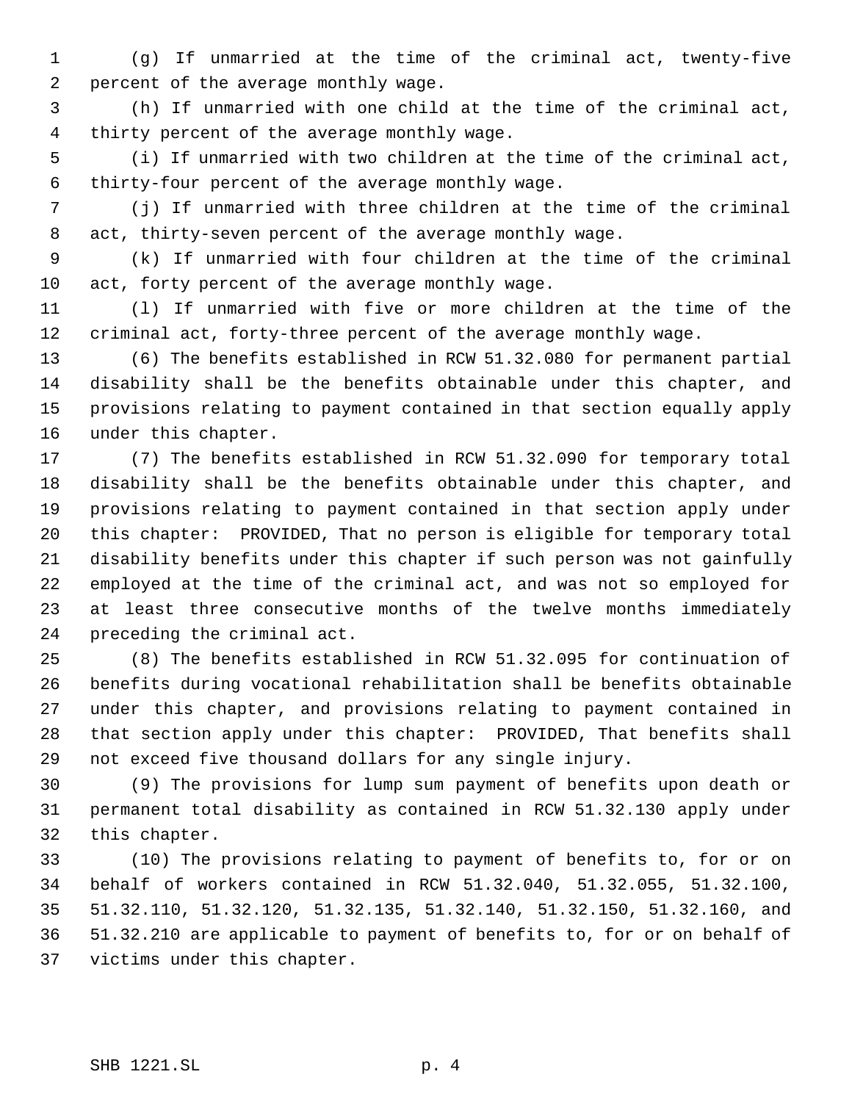(g) If unmarried at the time of the criminal act, twenty-five percent of the average monthly wage.

 (h) If unmarried with one child at the time of the criminal act, thirty percent of the average monthly wage.

 (i) If unmarried with two children at the time of the criminal act, thirty-four percent of the average monthly wage.

 (j) If unmarried with three children at the time of the criminal act, thirty-seven percent of the average monthly wage.

 (k) If unmarried with four children at the time of the criminal act, forty percent of the average monthly wage.

 (l) If unmarried with five or more children at the time of the criminal act, forty-three percent of the average monthly wage.

 (6) The benefits established in RCW 51.32.080 for permanent partial disability shall be the benefits obtainable under this chapter, and provisions relating to payment contained in that section equally apply under this chapter.

 (7) The benefits established in RCW 51.32.090 for temporary total disability shall be the benefits obtainable under this chapter, and provisions relating to payment contained in that section apply under this chapter: PROVIDED, That no person is eligible for temporary total disability benefits under this chapter if such person was not gainfully employed at the time of the criminal act, and was not so employed for at least three consecutive months of the twelve months immediately preceding the criminal act.

 (8) The benefits established in RCW 51.32.095 for continuation of benefits during vocational rehabilitation shall be benefits obtainable under this chapter, and provisions relating to payment contained in that section apply under this chapter: PROVIDED, That benefits shall not exceed five thousand dollars for any single injury.

 (9) The provisions for lump sum payment of benefits upon death or permanent total disability as contained in RCW 51.32.130 apply under this chapter.

 (10) The provisions relating to payment of benefits to, for or on behalf of workers contained in RCW 51.32.040, 51.32.055, 51.32.100, 51.32.110, 51.32.120, 51.32.135, 51.32.140, 51.32.150, 51.32.160, and 51.32.210 are applicable to payment of benefits to, for or on behalf of victims under this chapter.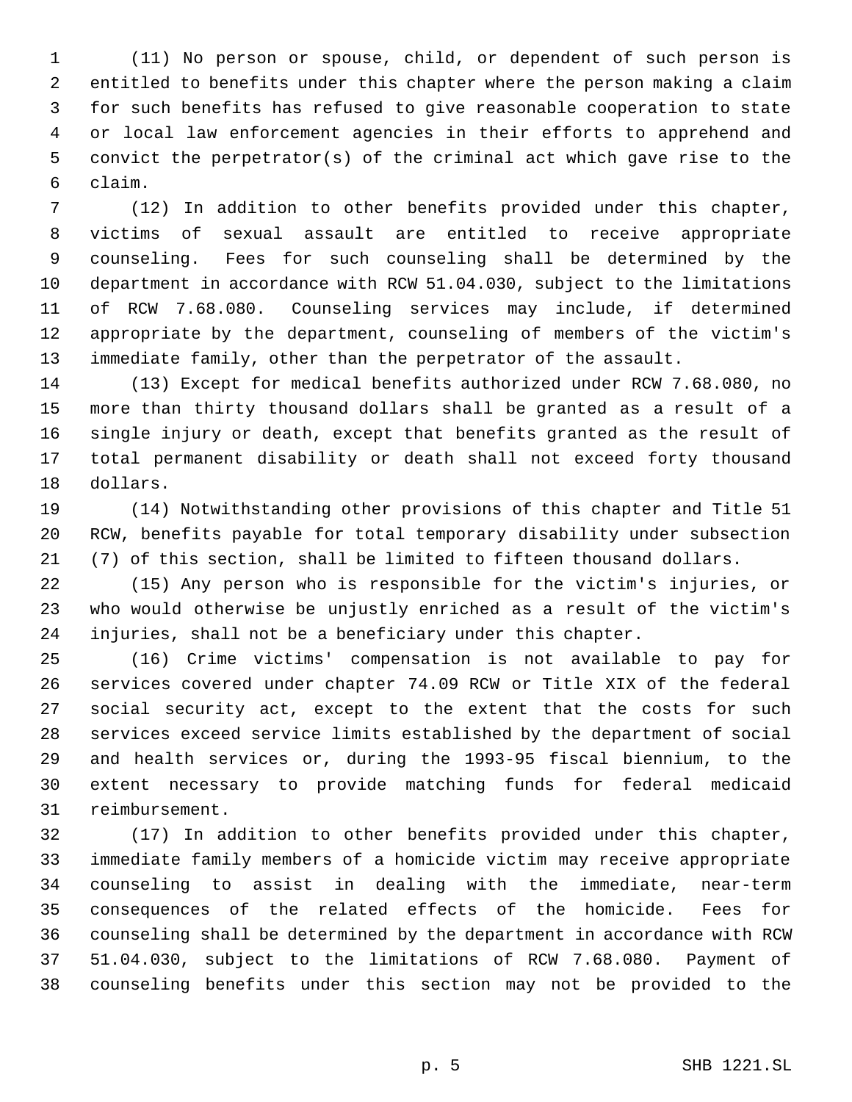(11) No person or spouse, child, or dependent of such person is entitled to benefits under this chapter where the person making a claim for such benefits has refused to give reasonable cooperation to state or local law enforcement agencies in their efforts to apprehend and convict the perpetrator(s) of the criminal act which gave rise to the claim.

 (12) In addition to other benefits provided under this chapter, victims of sexual assault are entitled to receive appropriate counseling. Fees for such counseling shall be determined by the department in accordance with RCW 51.04.030, subject to the limitations of RCW 7.68.080. Counseling services may include, if determined appropriate by the department, counseling of members of the victim's immediate family, other than the perpetrator of the assault.

 (13) Except for medical benefits authorized under RCW 7.68.080, no more than thirty thousand dollars shall be granted as a result of a single injury or death, except that benefits granted as the result of total permanent disability or death shall not exceed forty thousand dollars.

 (14) Notwithstanding other provisions of this chapter and Title 51 RCW, benefits payable for total temporary disability under subsection (7) of this section, shall be limited to fifteen thousand dollars.

 (15) Any person who is responsible for the victim's injuries, or who would otherwise be unjustly enriched as a result of the victim's injuries, shall not be a beneficiary under this chapter.

 (16) Crime victims' compensation is not available to pay for services covered under chapter 74.09 RCW or Title XIX of the federal social security act, except to the extent that the costs for such services exceed service limits established by the department of social and health services or, during the 1993-95 fiscal biennium, to the extent necessary to provide matching funds for federal medicaid reimbursement.

 (17) In addition to other benefits provided under this chapter, immediate family members of a homicide victim may receive appropriate counseling to assist in dealing with the immediate, near-term consequences of the related effects of the homicide. Fees for counseling shall be determined by the department in accordance with RCW 51.04.030, subject to the limitations of RCW 7.68.080. Payment of counseling benefits under this section may not be provided to the